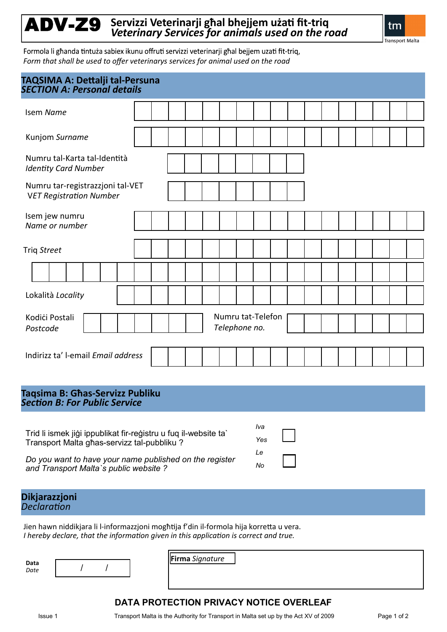# ADV-Z9 **Servizzi Veterinarji għal bhejjem użati fit-triq**  *Veterinary Services for animals used on the road*

tm

**Transport Malta** 

Formola li għanda tintuża sabiex ikunu offruti servizzi veterinarji għal bejjem uzati fit-triq, *Form that shall be used to offer veterinarys services for animal used on the road*

| TAQSIMA A: Dettalji tal-Persuna<br><b>SECTION A: Personal details</b> |  |  |  |  |  |                                    |  |  |  |  |  |  |
|-----------------------------------------------------------------------|--|--|--|--|--|------------------------------------|--|--|--|--|--|--|
| <b>Isem Name</b>                                                      |  |  |  |  |  |                                    |  |  |  |  |  |  |
| Kunjom Surname                                                        |  |  |  |  |  |                                    |  |  |  |  |  |  |
| Numru tal-Karta tal-Identità<br><b>Identity Card Number</b>           |  |  |  |  |  |                                    |  |  |  |  |  |  |
| Numru tar-registrazzjoni tal-VET<br><b>VET Registration Number</b>    |  |  |  |  |  |                                    |  |  |  |  |  |  |
| Isem jew numru<br>Name or number                                      |  |  |  |  |  |                                    |  |  |  |  |  |  |
| Triq Street                                                           |  |  |  |  |  |                                    |  |  |  |  |  |  |
|                                                                       |  |  |  |  |  |                                    |  |  |  |  |  |  |
| Lokalità Locality                                                     |  |  |  |  |  |                                    |  |  |  |  |  |  |
| Kodići Postali<br>Postcode                                            |  |  |  |  |  | Numru tat-Telefon<br>Telephone no. |  |  |  |  |  |  |
| Indirizz ta' l-email Email address                                    |  |  |  |  |  |                                    |  |  |  |  |  |  |

**Taqsima B: Għas-Servizz Publiku** *Section B: For Public Service* 

Trid li ismek jiġi ippublikat fir-reġistru u fuq il-website ta` Transport Malta għas-servizz tal-pubbliku ?

*Do you want to have your name published on the register and Transport Malta`s public website ?*

| Iva    |  |
|--------|--|
| Yes    |  |
| Le     |  |
| ο<br>Ν |  |

**Dikjarazzjoni**

*Declaration*

Jien hawn niddikjara li l-informazzjoni mogħtija f'din il-formola hija korretta u vera. *I hereby declare, that the information given in this application is correct and true.*

*Date* / /

**Data** *I I I I I I I I Date I I I I I I I I I I I I I I I I I I I I I I I I I I*

# **DATA PROTECTION PRIVACY NOTICE OVERLEAF**